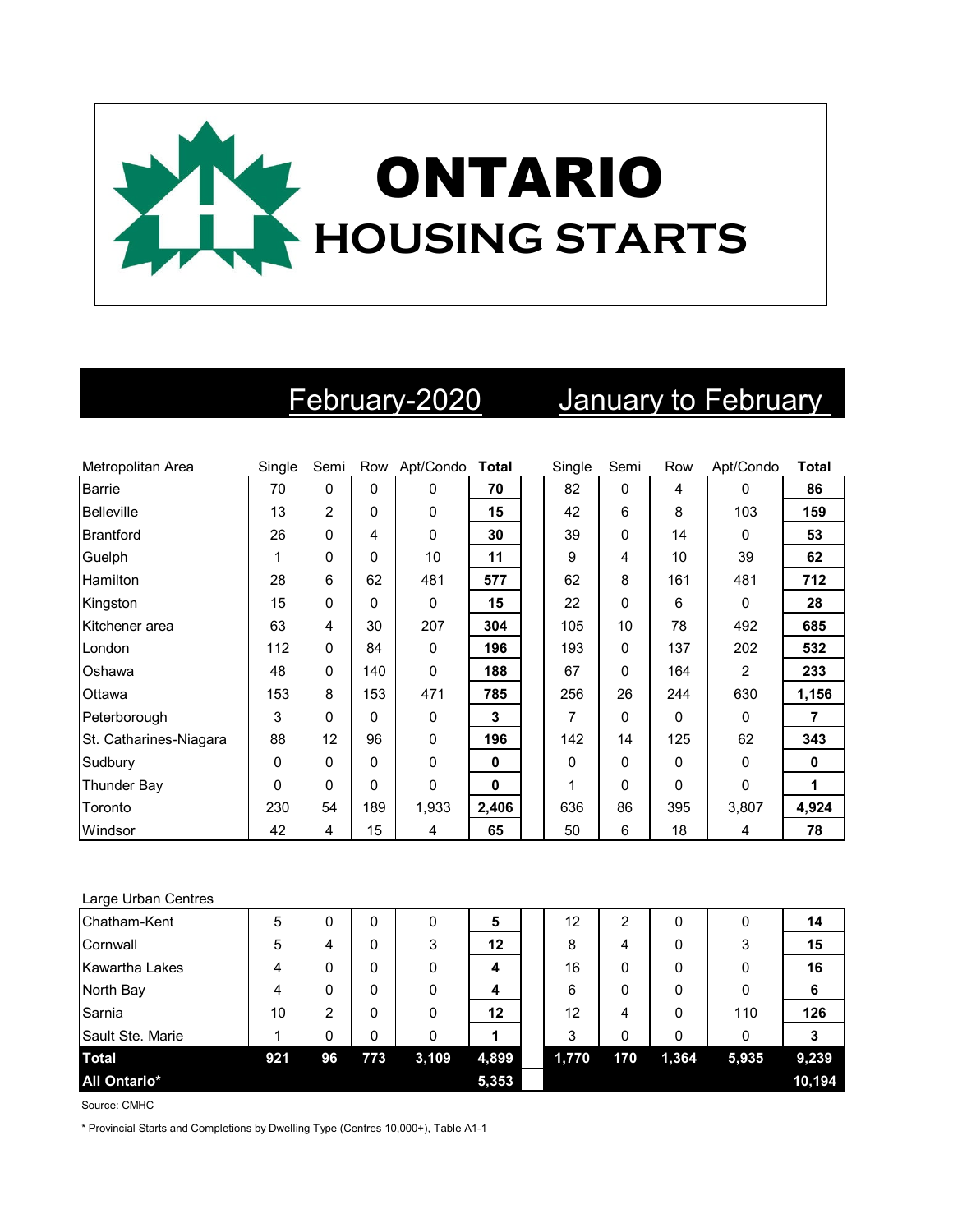

## February-2020 January to February

| Metropolitan Area      | Single   | Semi        |             | Row Apt/Condo | <b>Total</b> | Single | Semi     | Row      | Apt/Condo | Total |
|------------------------|----------|-------------|-------------|---------------|--------------|--------|----------|----------|-----------|-------|
| Barrie                 | 70       | $\mathbf 0$ | $\Omega$    | $\mathbf 0$   | 70           | 82     | $\Omega$ | 4        | $\Omega$  | 86    |
| Belleville             | 13       | 2           | $\mathbf 0$ | 0             | 15           | 42     | 6        | 8        | 103       | 159   |
| <b>Brantford</b>       | 26       | 0           | 4           | 0             | 30           | 39     | $\Omega$ | 14       | $\Omega$  | 53    |
| Guelph                 |          | 0           | $\mathbf 0$ | 10            | 11           | 9      | 4        | 10       | 39        | 62    |
| Hamilton               | 28       | 6           | 62          | 481           | 577          | 62     | 8        | 161      | 481       | 712   |
| Kingston               | 15       | 0           | 0           | 0             | 15           | 22     | $\Omega$ | 6        | $\Omega$  | 28    |
| Kitchener area         | 63       | 4           | 30          | 207           | 304          | 105    | 10       | 78       | 492       | 685   |
| London                 | 112      | 0           | 84          | 0             | 196          | 193    | $\Omega$ | 137      | 202       | 532   |
| Oshawa                 | 48       | 0           | 140         | 0             | 188          | 67     | $\Omega$ | 164      | 2         | 233   |
| Ottawa                 | 153      | 8           | 153         | 471           | 785          | 256    | 26       | 244      | 630       | 1,156 |
| Peterborough           | 3        | 0           | $\Omega$    | 0             | $\mathbf{3}$ | 7      | $\Omega$ | 0        | $\Omega$  | 7     |
| St. Catharines-Niagara | 88       | 12          | 96          | 0             | 196          | 142    | 14       | 125      | 62        | 343   |
| Sudbury                | 0        | 0           | $\Omega$    | $\mathbf{0}$  | $\mathbf{0}$ | 0      | 0        | 0        | $\Omega$  | 0     |
| Thunder Bay            | $\Omega$ | 0           | $\Omega$    | 0             | 0            | 1      | 0        | $\Omega$ | $\Omega$  | 1     |
| Toronto                | 230      | 54          | 189         | 1,933         | 2,406        | 636    | 86       | 395      | 3,807     | 4,924 |
| Windsor                | 42       | 4           | 15          | 4             | 65           | 50     | 6        | 18       | 4         | 78    |

| Large Urban Centres |     |    |     |       |       |       |     |       |       |        |
|---------------------|-----|----|-----|-------|-------|-------|-----|-------|-------|--------|
| Chatham-Kent        | 5   | 0  | 0   | 0     | 5     | 12    | 2   | 0     | 0     | 14     |
| Cornwall            | 5   | 4  | 0   | 3     | 12    | 8     | 4   | 0     | 3     | 15     |
| Kawartha Lakes      | 4   | 0  | 0   | 0     | 4     | 16    | 0   | 0     | 0     | 16     |
| North Bay           | 4   | 0  | 0   | 0     | 4     | 6     | 0   | 0     | 0     | -6     |
| Sarnia              | 10  | 2  | 0   | 0     | 12    | 12    | 4   | 0     | 110   | 126    |
| Sault Ste. Marie    |     | 0  | 0   | 0     |       | 3     | 0   | 0     | 0     |        |
| <b>Total</b>        | 921 | 96 | 773 | 3,109 | 4,899 | 1,770 | 170 | 1,364 | 5,935 | 9,239  |
| <b>All Ontario*</b> |     |    |     |       | 5,353 |       |     |       |       | 10,194 |

Source: CMHC

\* Provincial Starts and Completions by Dwelling Type (Centres 10,000+), Table A1-1